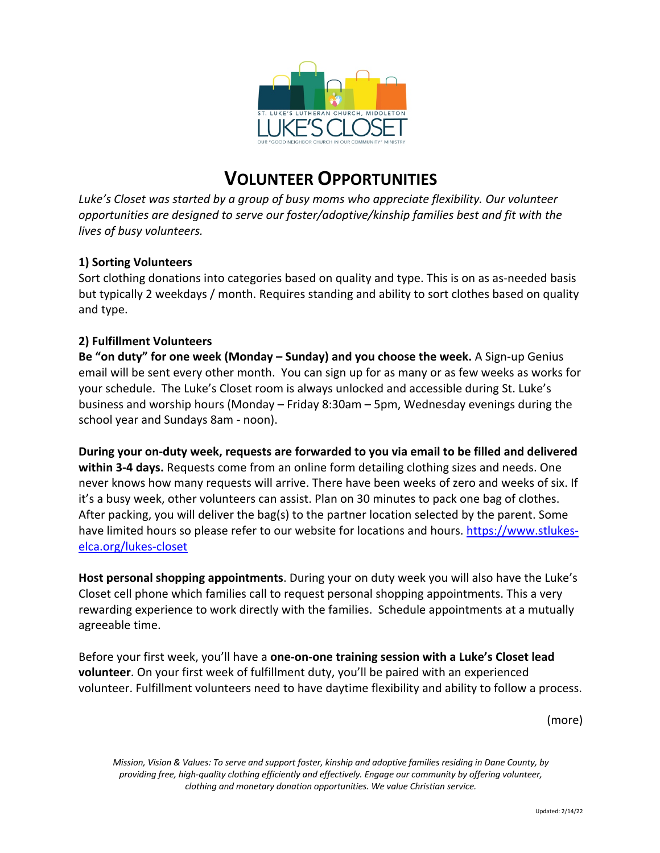

# **VOLUNTEER OPPORTUNITIES**

*Luke's Closet was started by a group of busy moms who appreciate flexibility. Our volunteer opportunities are designed to serve our foster/adoptive/kinship families best and fit with the lives of busy volunteers.*

## **1) Sorting Volunteers**

Sort clothing donations into categories based on quality and type. This is on as as-needed basis but typically 2 weekdays / month. Requires standing and ability to sort clothes based on quality and type.

### **2) Fulfillment Volunteers**

**Be "on duty" for one week (Monday – Sunday) and you choose the week.** A Sign-up Genius email will be sent every other month. You can sign up for as many or as few weeks as works for your schedule. The Luke's Closet room is always unlocked and accessible during St. Luke's business and worship hours (Monday – Friday 8:30am – 5pm, Wednesday evenings during the school year and Sundays 8am - noon).

**During your on-duty week, requests are forwarded to you via email to be filled and delivered within 3-4 days.** Requests come from an online form detailing clothing sizes and needs. One never knows how many requests will arrive. There have been weeks of zero and weeks of six. If it's a busy week, other volunteers can assist. Plan on 30 minutes to pack one bag of clothes. After packing, you will deliver the bag(s) to the partner location selected by the parent. Some have limited hours so please refer to our website for locations and hours. https://www.stlukeselca.org/lukes-closet

**Host personal shopping appointments**. During your on duty week you will also have the Luke's Closet cell phone which families call to request personal shopping appointments. This a very rewarding experience to work directly with the families. Schedule appointments at a mutually agreeable time.

Before your first week, you'll have a **one-on-one training session with a Luke's Closet lead volunteer**. On your first week of fulfillment duty, you'll be paired with an experienced volunteer. Fulfillment volunteers need to have daytime flexibility and ability to follow a process.

(more)

*Mission, Vision & Values: To serve and support foster, kinship and adoptive families residing in Dane County, by providing free, high-quality clothing efficiently and effectively. Engage our community by offering volunteer, clothing and monetary donation opportunities. We value Christian service.*